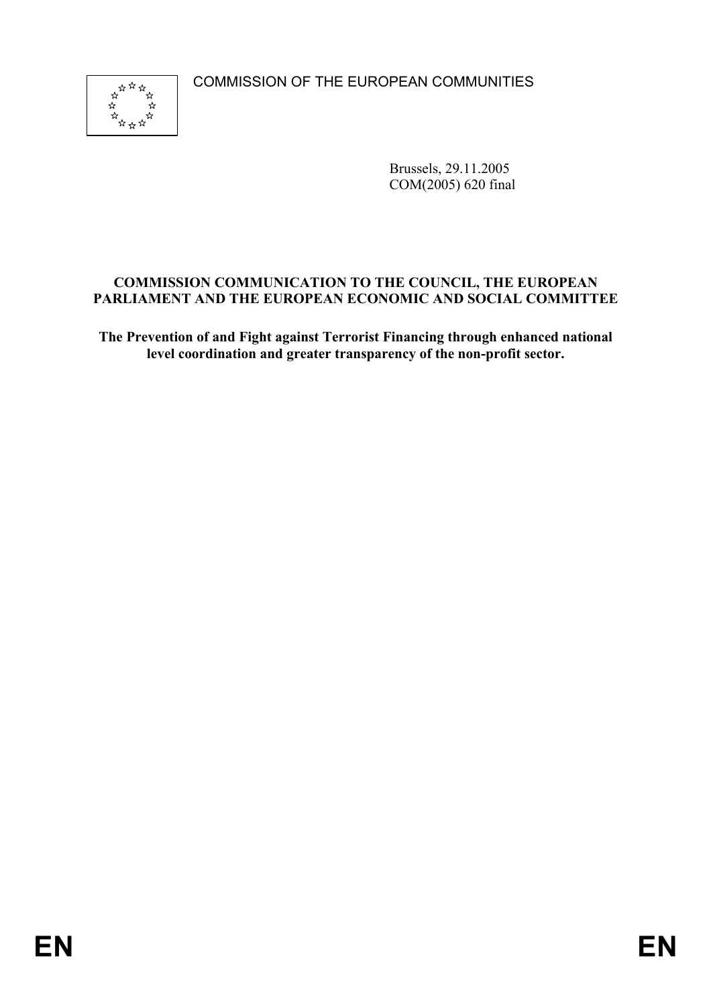COMMISSION OF THE EUROPEAN COMMUNITIES



Brussels, 29.11.2005 COM(2005) 620 final

# **COMMISSION COMMUNICATION TO THE COUNCIL, THE EUROPEAN PARLIAMENT AND THE EUROPEAN ECONOMIC AND SOCIAL COMMITTEE**

**The Prevention of and Fight against Terrorist Financing through enhanced national level coordination and greater transparency of the non-profit sector.**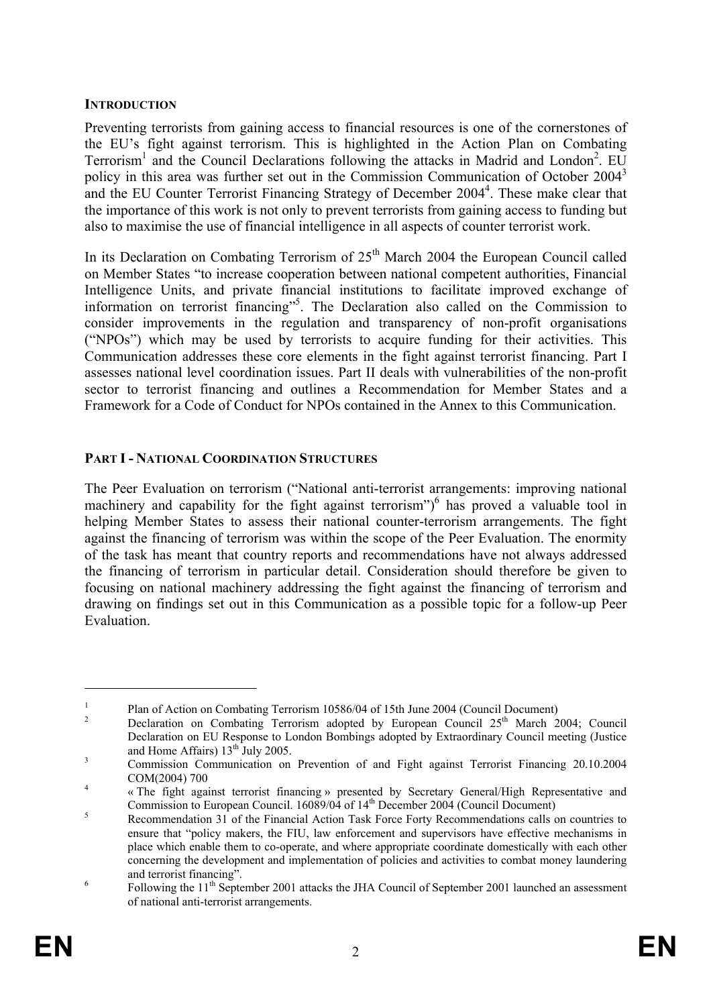### **INTRODUCTION**

Preventing terrorists from gaining access to financial resources is one of the cornerstones of the EU's fight against terrorism. This is highlighted in the Action Plan on Combating Terrorism<sup>1</sup> and the Council Declarations following the attacks in Madrid and London<sup>2</sup>. EU policy in this area was further set out in the Commission Communication of October 2004<sup>3</sup> and the EU Counter Terrorist Financing Strategy of December 2004<sup>4</sup>. These make clear that the importance of this work is not only to prevent terrorists from gaining access to funding but also to maximise the use of financial intelligence in all aspects of counter terrorist work.

In its Declaration on Combating Terrorism of  $25<sup>th</sup>$  March 2004 the European Council called on Member States "to increase cooperation between national competent authorities, Financial Intelligence Units, and private financial institutions to facilitate improved exchange of information on terrorist financing"5 . The Declaration also called on the Commission to consider improvements in the regulation and transparency of non-profit organisations ("NPOs") which may be used by terrorists to acquire funding for their activities. This Communication addresses these core elements in the fight against terrorist financing. Part I assesses national level coordination issues. Part II deals with vulnerabilities of the non-profit sector to terrorist financing and outlines a Recommendation for Member States and a Framework for a Code of Conduct for NPOs contained in the Annex to this Communication.

# **PART I - NATIONAL COORDINATION STRUCTURES**

The Peer Evaluation on terrorism ("National anti-terrorist arrangements: improving national machinery and capability for the fight against terrorism")<sup>6</sup> has proved a valuable tool in helping Member States to assess their national counter-terrorism arrangements. The fight against the financing of terrorism was within the scope of the Peer Evaluation. The enormity of the task has meant that country reports and recommendations have not always addressed the financing of terrorism in particular detail. Consideration should therefore be given to focusing on national machinery addressing the fight against the financing of terrorism and drawing on findings set out in this Communication as a possible topic for a follow-up Peer Evaluation.

<sup>1</sup> Plan of Action on Combating Terrorism 10586/04 of 15th June 2004 (Council Document)

<sup>2</sup> Declaration on Combating Terrorism adopted by European Council 25<sup>th</sup> March 2004; Council Declaration on EU Response to London Bombings adopted by Extraordinary Council meeting (Justice and Home Affairs)  $13^{th}$  July 2005.

Commission Communication on Prevention of and Fight against Terrorist Financing 20.10.2004  $COM(2004) 700$ 

 <sup>«</sup> The fight against terrorist financing » presented by Secretary General/High Representative and Commission to European Council. 16089/04 of 14<sup>th</sup> December 2004 (Council Document)

Recommendation 31 of the Financial Action Task Force Forty Recommendations calls on countries to ensure that "policy makers, the FIU, law enforcement and supervisors have effective mechanisms in place which enable them to co-operate, and where appropriate coordinate domestically with each other concerning the development and implementation of policies and activities to combat money laundering and terrorist financing".

Following the 11<sup>th</sup> September 2001 attacks the JHA Council of September 2001 launched an assessment of national anti-terrorist arrangements.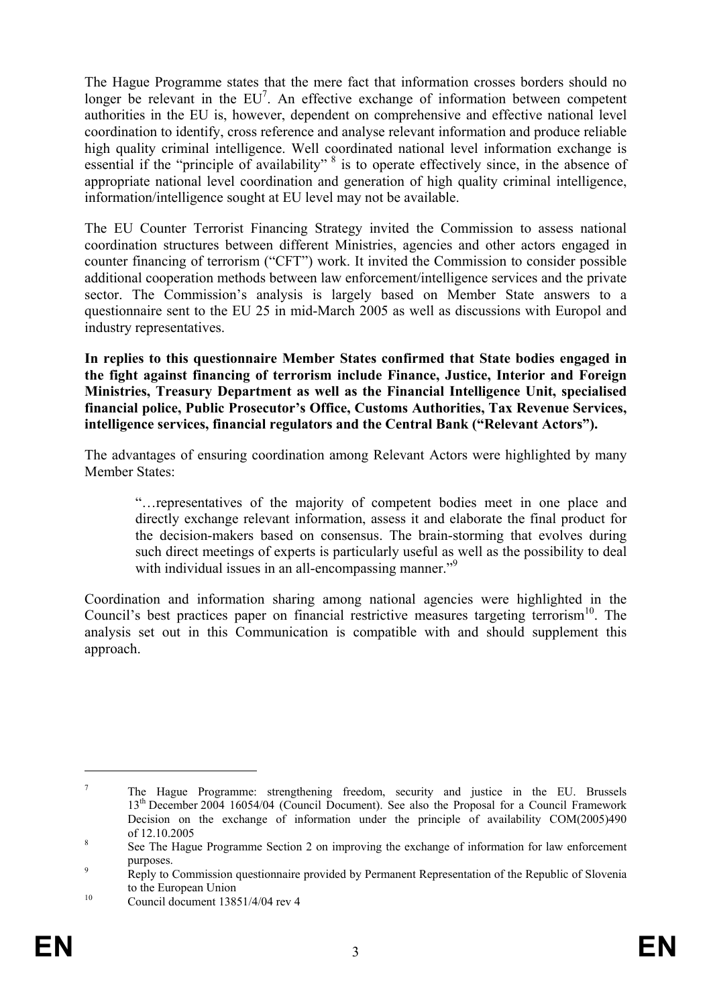The Hague Programme states that the mere fact that information crosses borders should no longer be relevant in the  $EU^7$ . An effective exchange of information between competent authorities in the EU is, however, dependent on comprehensive and effective national level coordination to identify, cross reference and analyse relevant information and produce reliable high quality criminal intelligence. Well coordinated national level information exchange is essential if the "principle of availability" <sup>8</sup> is to operate effectively since, in the absence of appropriate national level coordination and generation of high quality criminal intelligence, information/intelligence sought at EU level may not be available.

The EU Counter Terrorist Financing Strategy invited the Commission to assess national coordination structures between different Ministries, agencies and other actors engaged in counter financing of terrorism ("CFT") work. It invited the Commission to consider possible additional cooperation methods between law enforcement/intelligence services and the private sector. The Commission's analysis is largely based on Member State answers to a questionnaire sent to the EU 25 in mid-March 2005 as well as discussions with Europol and industry representatives.

**In replies to this questionnaire Member States confirmed that State bodies engaged in the fight against financing of terrorism include Finance, Justice, Interior and Foreign Ministries, Treasury Department as well as the Financial Intelligence Unit, specialised financial police, Public Prosecutor's Office, Customs Authorities, Tax Revenue Services, intelligence services, financial regulators and the Central Bank ("Relevant Actors").**

The advantages of ensuring coordination among Relevant Actors were highlighted by many Member States:

"…representatives of the majority of competent bodies meet in one place and directly exchange relevant information, assess it and elaborate the final product for the decision-makers based on consensus. The brain-storming that evolves during such direct meetings of experts is particularly useful as well as the possibility to deal with individual issues in an all-encompassing manner."<sup>9</sup>

Coordination and information sharing among national agencies were highlighted in the Council's best practices paper on financial restrictive measures targeting terrorism<sup>10</sup>. The analysis set out in this Communication is compatible with and should supplement this approach.

<sup>7</sup> The Hague Programme: strengthening freedom, security and justice in the EU. Brussels 13<sup>th</sup> December 2004 16054/04 (Council Document). See also the Proposal for a Council Framework Decision on the exchange of information under the principle of availability COM(2005)490  $\int_{8}^8$  of 12.10.2005

See The Hague Programme Section 2 on improving the exchange of information for law enforcement purposes.

Reply to Commission questionnaire provided by Permanent Representation of the Republic of Slovenia to the European Union<br>
Council document 13851/4/04 rev 4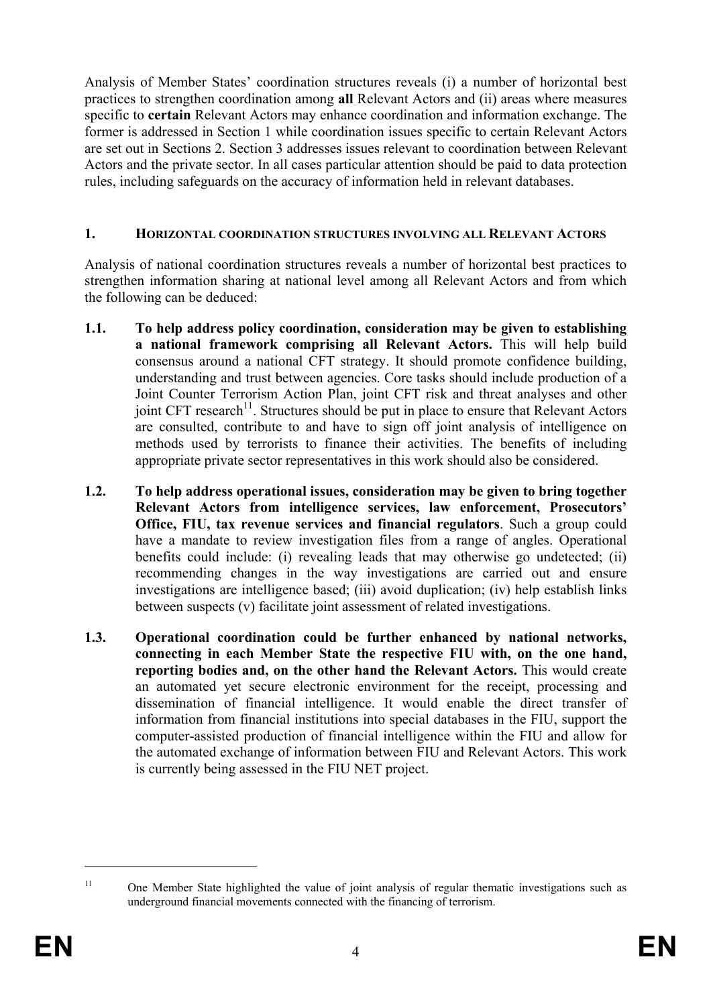Analysis of Member States' coordination structures reveals (i) a number of horizontal best practices to strengthen coordination among **all** Relevant Actors and (ii) areas where measures specific to **certain** Relevant Actors may enhance coordination and information exchange. The former is addressed in Section 1 while coordination issues specific to certain Relevant Actors are set out in Sections 2. Section 3 addresses issues relevant to coordination between Relevant Actors and the private sector. In all cases particular attention should be paid to data protection rules, including safeguards on the accuracy of information held in relevant databases.

### **1. HORIZONTAL COORDINATION STRUCTURES INVOLVING ALL RELEVANT ACTORS**

Analysis of national coordination structures reveals a number of horizontal best practices to strengthen information sharing at national level among all Relevant Actors and from which the following can be deduced:

- **1.1. To help address policy coordination, consideration may be given to establishing a national framework comprising all Relevant Actors.** This will help build consensus around a national CFT strategy. It should promote confidence building, understanding and trust between agencies. Core tasks should include production of a Joint Counter Terrorism Action Plan, joint CFT risk and threat analyses and other joint CFT research<sup>11</sup>. Structures should be put in place to ensure that Relevant Actors are consulted, contribute to and have to sign off joint analysis of intelligence on methods used by terrorists to finance their activities. The benefits of including appropriate private sector representatives in this work should also be considered.
- **1.2. To help address operational issues, consideration may be given to bring together Relevant Actors from intelligence services, law enforcement, Prosecutors' Office, FIU, tax revenue services and financial regulators**. Such a group could have a mandate to review investigation files from a range of angles. Operational benefits could include: (i) revealing leads that may otherwise go undetected; (ii) recommending changes in the way investigations are carried out and ensure investigations are intelligence based; (iii) avoid duplication; (iv) help establish links between suspects (v) facilitate joint assessment of related investigations.
- **1.3. Operational coordination could be further enhanced by national networks, connecting in each Member State the respective FIU with, on the one hand, reporting bodies and, on the other hand the Relevant Actors.** This would create an automated yet secure electronic environment for the receipt, processing and dissemination of financial intelligence. It would enable the direct transfer of information from financial institutions into special databases in the FIU, support the computer-assisted production of financial intelligence within the FIU and allow for the automated exchange of information between FIU and Relevant Actors. This work is currently being assessed in the FIU NET project.

<sup>&</sup>lt;sup>11</sup> One Member State highlighted the value of joint analysis of regular thematic investigations such as underground financial movements connected with the financing of terrorism.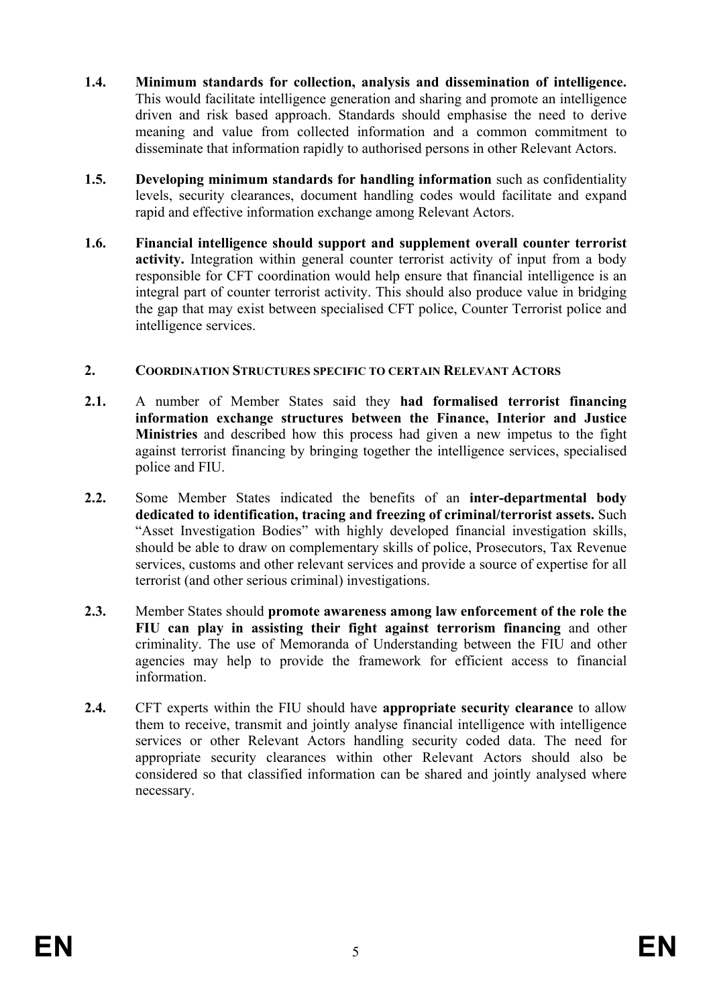- **1.4. Minimum standards for collection, analysis and dissemination of intelligence.**  This would facilitate intelligence generation and sharing and promote an intelligence driven and risk based approach. Standards should emphasise the need to derive meaning and value from collected information and a common commitment to disseminate that information rapidly to authorised persons in other Relevant Actors.
- **1.5.** Developing minimum standards for handling information such as confidentiality levels, security clearances, document handling codes would facilitate and expand rapid and effective information exchange among Relevant Actors.
- **1.6. Financial intelligence should support and supplement overall counter terrorist activity.** Integration within general counter terrorist activity of input from a body responsible for CFT coordination would help ensure that financial intelligence is an integral part of counter terrorist activity. This should also produce value in bridging the gap that may exist between specialised CFT police, Counter Terrorist police and intelligence services.

### **2. COORDINATION STRUCTURES SPECIFIC TO CERTAIN RELEVANT ACTORS**

- **2.1.** A number of Member States said they **had formalised terrorist financing information exchange structures between the Finance, Interior and Justice Ministries** and described how this process had given a new impetus to the fight against terrorist financing by bringing together the intelligence services, specialised police and FIU.
- **2.2.** Some Member States indicated the benefits of an **inter-departmental body dedicated to identification, tracing and freezing of criminal/terrorist assets.** Such "Asset Investigation Bodies" with highly developed financial investigation skills, should be able to draw on complementary skills of police, Prosecutors, Tax Revenue services, customs and other relevant services and provide a source of expertise for all terrorist (and other serious criminal) investigations.
- **2.3.** Member States should **promote awareness among law enforcement of the role the FIU can play in assisting their fight against terrorism financing** and other criminality. The use of Memoranda of Understanding between the FIU and other agencies may help to provide the framework for efficient access to financial information.
- **2.4.** CFT experts within the FIU should have **appropriate security clearance** to allow them to receive, transmit and jointly analyse financial intelligence with intelligence services or other Relevant Actors handling security coded data. The need for appropriate security clearances within other Relevant Actors should also be considered so that classified information can be shared and jointly analysed where necessary.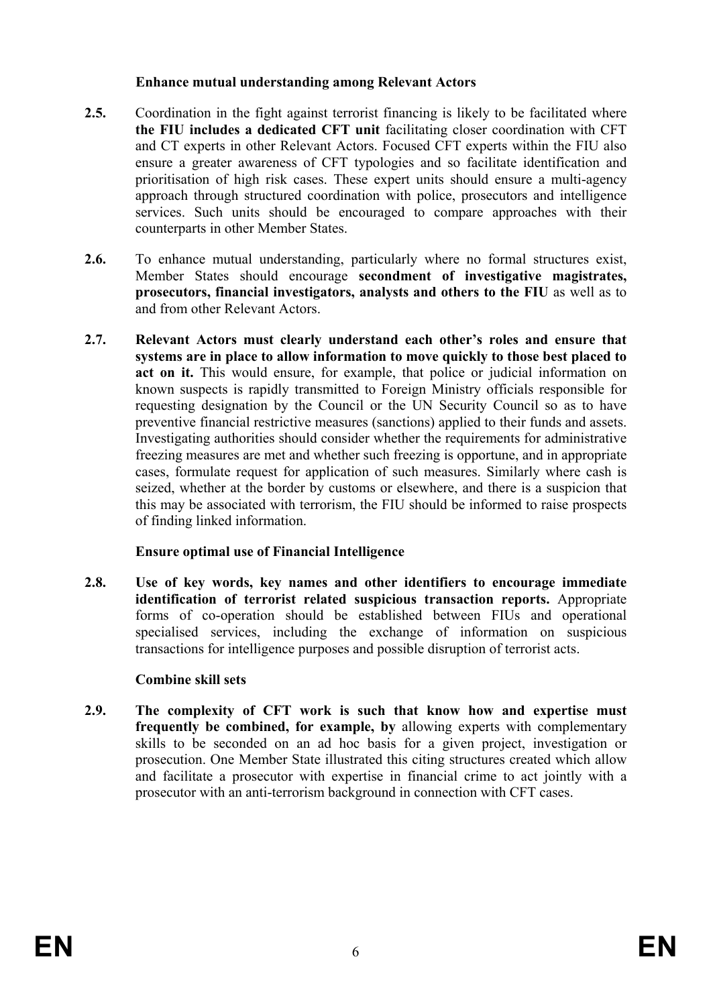### **Enhance mutual understanding among Relevant Actors**

- 2.5. Coordination in the fight against terrorist financing is likely to be facilitated where **the FIU includes a dedicated CFT unit** facilitating closer coordination with CFT and CT experts in other Relevant Actors. Focused CFT experts within the FIU also ensure a greater awareness of CFT typologies and so facilitate identification and prioritisation of high risk cases. These expert units should ensure a multi-agency approach through structured coordination with police, prosecutors and intelligence services. Such units should be encouraged to compare approaches with their counterparts in other Member States.
- **2.6.** To enhance mutual understanding, particularly where no formal structures exist, Member States should encourage **secondment of investigative magistrates, prosecutors, financial investigators, analysts and others to the FIU** as well as to and from other Relevant Actors.
- **2.7. Relevant Actors must clearly understand each other's roles and ensure that systems are in place to allow information to move quickly to those best placed to act on it.** This would ensure, for example, that police or judicial information on known suspects is rapidly transmitted to Foreign Ministry officials responsible for requesting designation by the Council or the UN Security Council so as to have preventive financial restrictive measures (sanctions) applied to their funds and assets. Investigating authorities should consider whether the requirements for administrative freezing measures are met and whether such freezing is opportune, and in appropriate cases, formulate request for application of such measures. Similarly where cash is seized, whether at the border by customs or elsewhere, and there is a suspicion that this may be associated with terrorism, the FIU should be informed to raise prospects of finding linked information.

# **Ensure optimal use of Financial Intelligence**

**2.8. Use of key words, key names and other identifiers to encourage immediate identification of terrorist related suspicious transaction reports.** Appropriate forms of co-operation should be established between FIUs and operational specialised services, including the exchange of information on suspicious transactions for intelligence purposes and possible disruption of terrorist acts.

# **Combine skill sets**

**2.9. The complexity of CFT work is such that know how and expertise must frequently be combined, for example, by** allowing experts with complementary skills to be seconded on an ad hoc basis for a given project, investigation or prosecution. One Member State illustrated this citing structures created which allow and facilitate a prosecutor with expertise in financial crime to act jointly with a prosecutor with an anti-terrorism background in connection with CFT cases.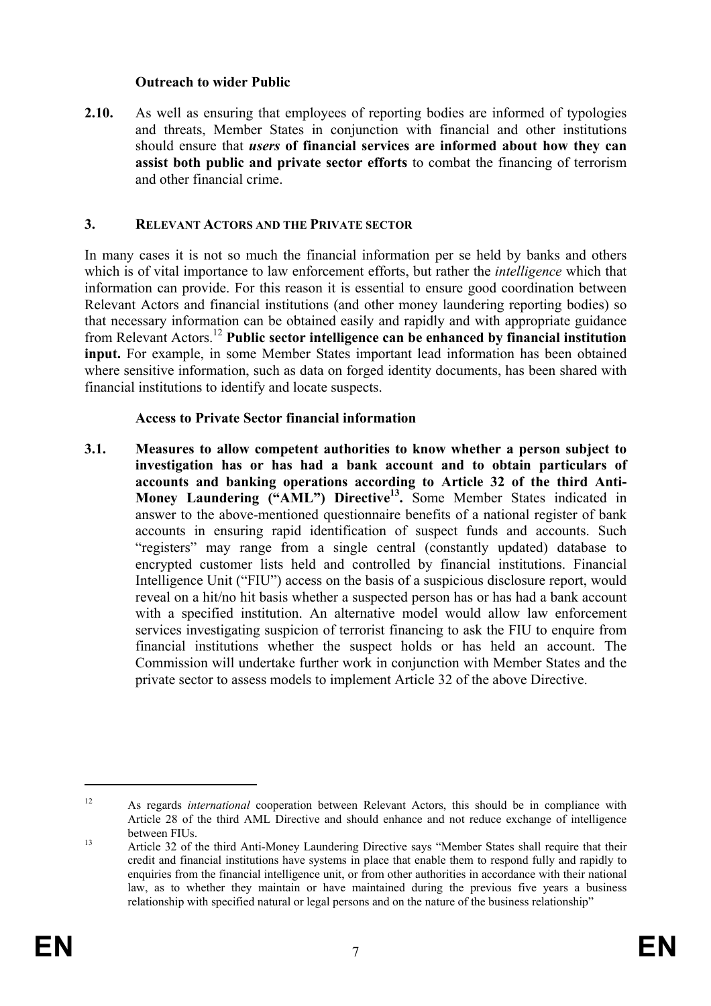### **Outreach to wider Public**

**2.10.** As well as ensuring that employees of reporting bodies are informed of typologies and threats, Member States in conjunction with financial and other institutions should ensure that *users* **of financial services are informed about how they can assist both public and private sector efforts** to combat the financing of terrorism and other financial crime.

### **3. RELEVANT ACTORS AND THE PRIVATE SECTOR**

In many cases it is not so much the financial information per se held by banks and others which is of vital importance to law enforcement efforts, but rather the *intelligence* which that information can provide. For this reason it is essential to ensure good coordination between Relevant Actors and financial institutions (and other money laundering reporting bodies) so that necessary information can be obtained easily and rapidly and with appropriate guidance from Relevant Actors.12 **Public sector intelligence can be enhanced by financial institution input.** For example, in some Member States important lead information has been obtained where sensitive information, such as data on forged identity documents, has been shared with financial institutions to identify and locate suspects.

### **Access to Private Sector financial information**

**3.1. Measures to allow competent authorities to know whether a person subject to investigation has or has had a bank account and to obtain particulars of accounts and banking operations according to Article 32 of the third Anti-Money Laundering ("AML") Directive<sup>13</sup>.** Some Member States indicated in answer to the above-mentioned questionnaire benefits of a national register of bank accounts in ensuring rapid identification of suspect funds and accounts. Such "registers" may range from a single central (constantly updated) database to encrypted customer lists held and controlled by financial institutions. Financial Intelligence Unit ("FIU") access on the basis of a suspicious disclosure report, would reveal on a hit/no hit basis whether a suspected person has or has had a bank account with a specified institution. An alternative model would allow law enforcement services investigating suspicion of terrorist financing to ask the FIU to enquire from financial institutions whether the suspect holds or has held an account. The Commission will undertake further work in conjunction with Member States and the private sector to assess models to implement Article 32 of the above Directive.

<sup>12</sup> As regards *international* cooperation between Relevant Actors, this should be in compliance with Article 28 of the third AML Directive and should enhance and not reduce exchange of intelligence between FIUs.<br>Article 32 of the third Anti-Money Laundering Directive says "Member States shall require that their

credit and financial institutions have systems in place that enable them to respond fully and rapidly to enquiries from the financial intelligence unit, or from other authorities in accordance with their national law, as to whether they maintain or have maintained during the previous five years a business relationship with specified natural or legal persons and on the nature of the business relationship"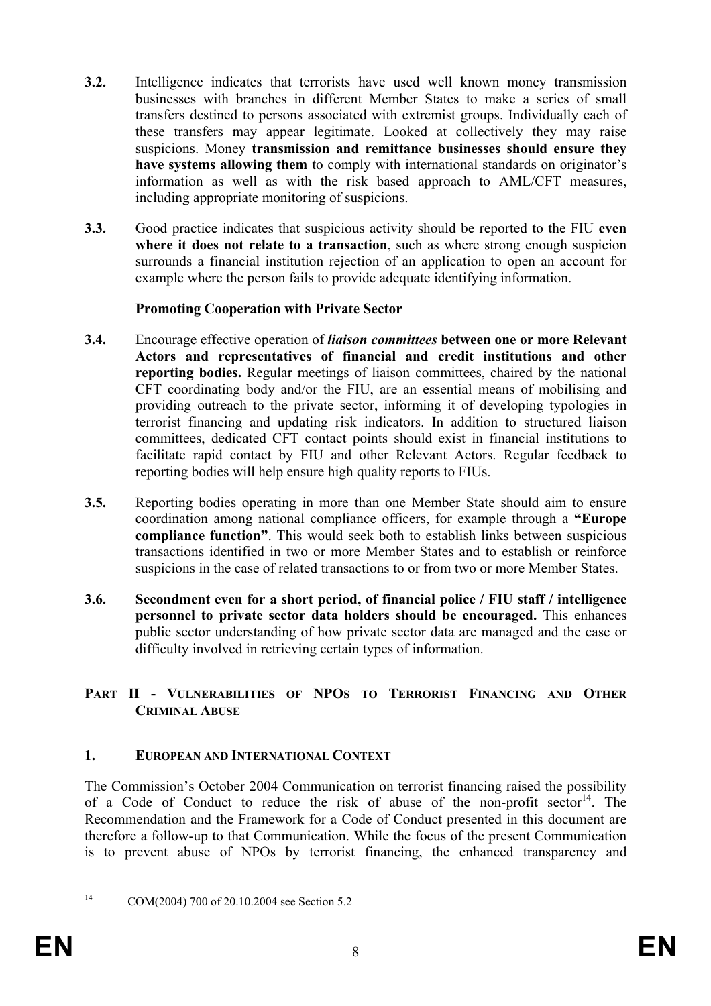- **3.2.** Intelligence indicates that terrorists have used well known money transmission businesses with branches in different Member States to make a series of small transfers destined to persons associated with extremist groups. Individually each of these transfers may appear legitimate. Looked at collectively they may raise suspicions. Money **transmission and remittance businesses should ensure they have systems allowing them** to comply with international standards on originator's information as well as with the risk based approach to AML/CFT measures, including appropriate monitoring of suspicions.
- **3.3.** Good practice indicates that suspicious activity should be reported to the FIU **even where it does not relate to a transaction**, such as where strong enough suspicion surrounds a financial institution rejection of an application to open an account for example where the person fails to provide adequate identifying information.

# **Promoting Cooperation with Private Sector**

- **3.4.** Encourage effective operation of *liaison committees* **between one or more Relevant Actors and representatives of financial and credit institutions and other reporting bodies.** Regular meetings of liaison committees, chaired by the national CFT coordinating body and/or the FIU, are an essential means of mobilising and providing outreach to the private sector, informing it of developing typologies in terrorist financing and updating risk indicators. In addition to structured liaison committees, dedicated CFT contact points should exist in financial institutions to facilitate rapid contact by FIU and other Relevant Actors. Regular feedback to reporting bodies will help ensure high quality reports to FIUs.
- **3.5.** Reporting bodies operating in more than one Member State should aim to ensure coordination among national compliance officers, for example through a **"Europe compliance function"**. This would seek both to establish links between suspicious transactions identified in two or more Member States and to establish or reinforce suspicions in the case of related transactions to or from two or more Member States.
- **3.6. Secondment even for a short period, of financial police / FIU staff / intelligence personnel to private sector data holders should be encouraged.** This enhances public sector understanding of how private sector data are managed and the ease or difficulty involved in retrieving certain types of information.

# **PART II - VULNERABILITIES OF NPOS TO TERRORIST FINANCING AND OTHER CRIMINAL ABUSE**

# **1. EUROPEAN AND INTERNATIONAL CONTEXT**

The Commission's October 2004 Communication on terrorist financing raised the possibility of a Code of Conduct to reduce the risk of abuse of the non-profit sector<sup>14</sup>. The Recommendation and the Framework for a Code of Conduct presented in this document are therefore a follow-up to that Communication. While the focus of the present Communication is to prevent abuse of NPOs by terrorist financing, the enhanced transparency and

<sup>1</sup> 

<sup>14</sup> COM(2004) 700 of 20.10.2004 see Section 5.2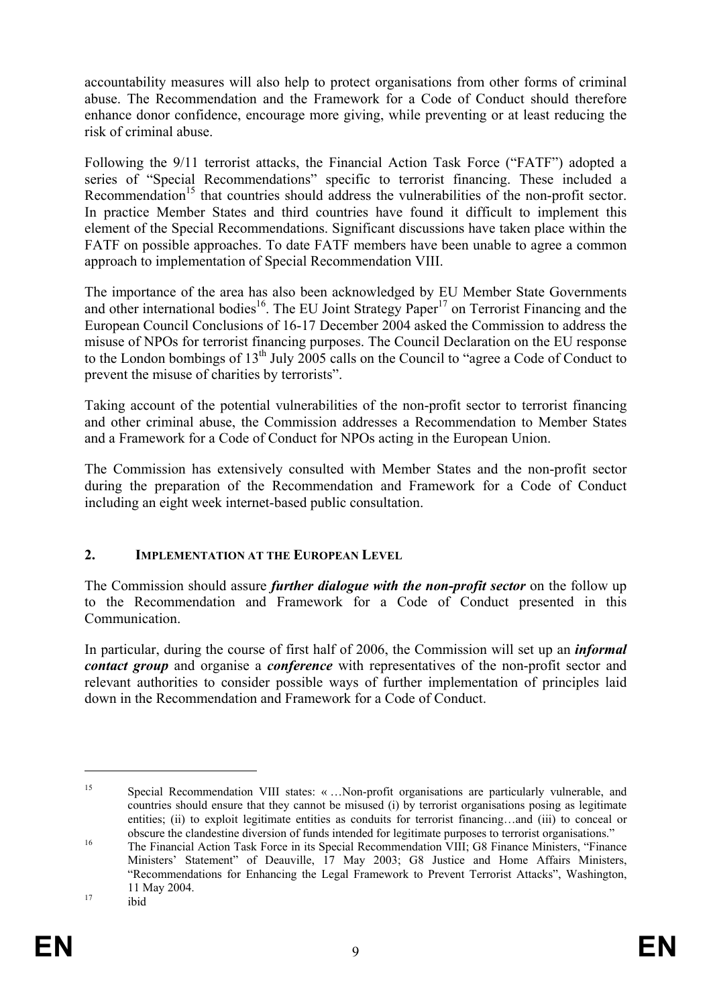accountability measures will also help to protect organisations from other forms of criminal abuse. The Recommendation and the Framework for a Code of Conduct should therefore enhance donor confidence, encourage more giving, while preventing or at least reducing the risk of criminal abuse.

Following the 9/11 terrorist attacks, the Financial Action Task Force ("FATF") adopted a series of "Special Recommendations" specific to terrorist financing. These included a Recommendation<sup>15</sup> that countries should address the vulnerabilities of the non-profit sector. In practice Member States and third countries have found it difficult to implement this element of the Special Recommendations. Significant discussions have taken place within the FATF on possible approaches. To date FATF members have been unable to agree a common approach to implementation of Special Recommendation VIII.

The importance of the area has also been acknowledged by EU Member State Governments and other international bodies<sup>16</sup>. The EU Joint Strategy Paper<sup>17</sup> on Terrorist Financing and the European Council Conclusions of 16-17 December 2004 asked the Commission to address the misuse of NPOs for terrorist financing purposes. The Council Declaration on the EU response to the London bombings of 13<sup>th</sup> July 2005 calls on the Council to "agree a Code of Conduct to" prevent the misuse of charities by terrorists".

Taking account of the potential vulnerabilities of the non-profit sector to terrorist financing and other criminal abuse, the Commission addresses a Recommendation to Member States and a Framework for a Code of Conduct for NPOs acting in the European Union.

The Commission has extensively consulted with Member States and the non-profit sector during the preparation of the Recommendation and Framework for a Code of Conduct including an eight week internet-based public consultation.

# **2. IMPLEMENTATION AT THE EUROPEAN LEVEL**

The Commission should assure *further dialogue with the non-profit sector* on the follow up to the Recommendation and Framework for a Code of Conduct presented in this Communication.

In particular, during the course of first half of 2006, the Commission will set up an *informal contact group* and organise a *conference* with representatives of the non-profit sector and relevant authorities to consider possible ways of further implementation of principles laid down in the Recommendation and Framework for a Code of Conduct.

<sup>15</sup> Special Recommendation VIII states: « …Non-profit organisations are particularly vulnerable, and countries should ensure that they cannot be misused (i) by terrorist organisations posing as legitimate entities; (ii) to exploit legitimate entities as conduits for terrorist financing…and (iii) to conceal or

obscure the clandestine diversion of funds intended for legitimate purposes to terrorist organisations."<br>The Financial Action Task Force in its Special Recommendation VIII; G8 Finance Ministers, "Finance Ministers' Statement" of Deauville, 17 May 2003; G8 Justice and Home Affairs Ministers, "Recommendations for Enhancing the Legal Framework to Prevent Terrorist Attacks", Washington, 17 11 May 2004.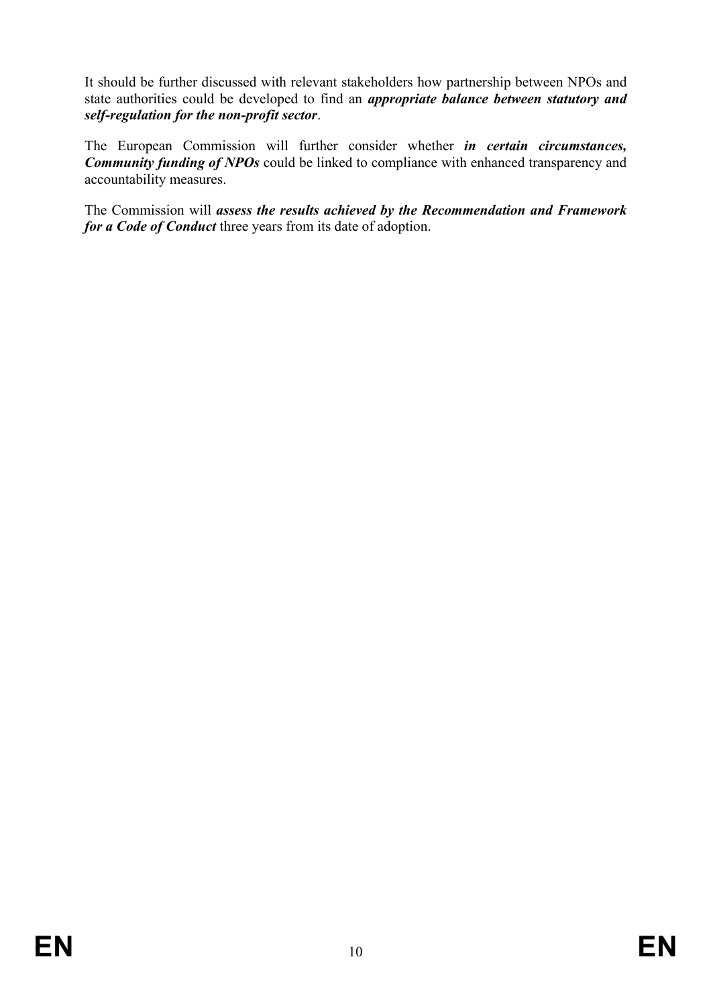It should be further discussed with relevant stakeholders how partnership between NPOs and state authorities could be developed to find an *appropriate balance between statutory and self-regulation for the non-profit sector*.

The European Commission will further consider whether *in certain circumstances, Community funding of NPOs* could be linked to compliance with enhanced transparency and accountability measures.

The Commission will *assess the results achieved by the Recommendation and Framework for a Code of Conduct* three years from its date of adoption.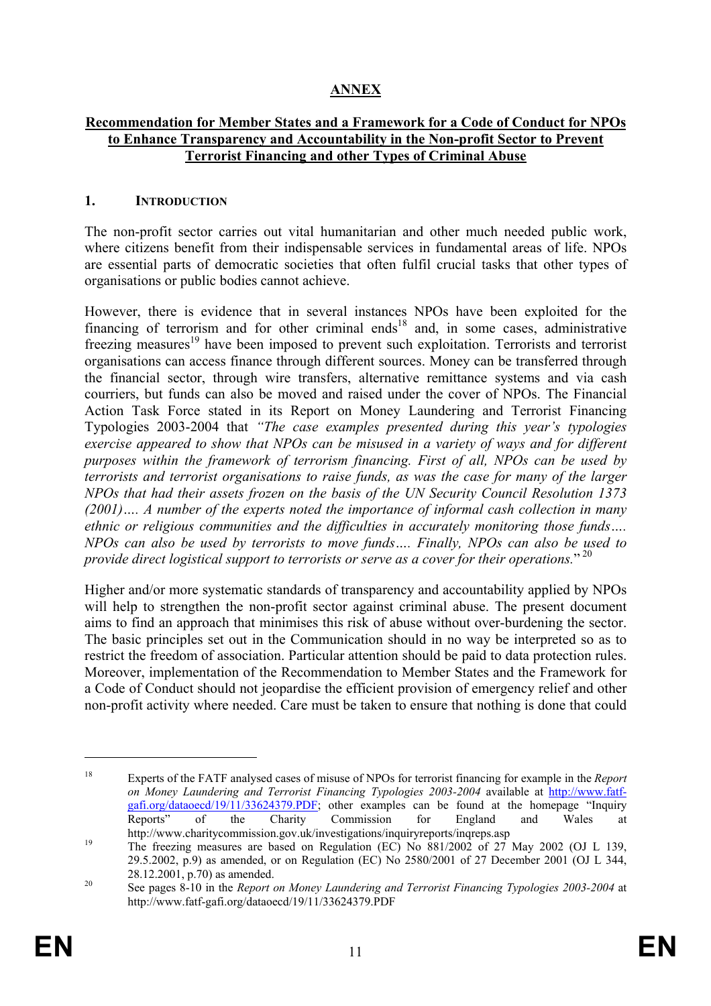# **ANNEX**

### **Recommendation for Member States and a Framework for a Code of Conduct for NPOs to Enhance Transparency and Accountability in the Non-profit Sector to Prevent Terrorist Financing and other Types of Criminal Abuse**

### **1. INTRODUCTION**

The non-profit sector carries out vital humanitarian and other much needed public work, where citizens benefit from their indispensable services in fundamental areas of life. NPOs are essential parts of democratic societies that often fulfil crucial tasks that other types of organisations or public bodies cannot achieve.

However, there is evidence that in several instances NPOs have been exploited for the financing of terrorism and for other criminal ends<sup>18</sup> and, in some cases, administrative freezing measures<sup>19</sup> have been imposed to prevent such exploitation. Terrorists and terrorist organisations can access finance through different sources. Money can be transferred through the financial sector, through wire transfers, alternative remittance systems and via cash courriers, but funds can also be moved and raised under the cover of NPOs. The Financial Action Task Force stated in its Report on Money Laundering and Terrorist Financing Typologies 2003-2004 that *"The case examples presented during this year's typologies exercise appeared to show that NPOs can be misused in a variety of ways and for different purposes within the framework of terrorism financing. First of all, NPOs can be used by terrorists and terrorist organisations to raise funds, as was the case for many of the larger NPOs that had their assets frozen on the basis of the UN Security Council Resolution 1373 (2001)…. A number of the experts noted the importance of informal cash collection in many ethnic or religious communities and the difficulties in accurately monitoring those funds…. NPOs can also be used by terrorists to move funds…. Finally, NPOs can also be used to*  provide direct logistical support to terrorists or serve as a cover for their operations."<sup>20</sup>

Higher and/or more systematic standards of transparency and accountability applied by NPOs will help to strengthen the non-profit sector against criminal abuse. The present document aims to find an approach that minimises this risk of abuse without over-burdening the sector. The basic principles set out in the Communication should in no way be interpreted so as to restrict the freedom of association. Particular attention should be paid to data protection rules. Moreover, implementation of the Recommendation to Member States and the Framework for a Code of Conduct should not jeopardise the efficient provision of emergency relief and other non-profit activity where needed. Care must be taken to ensure that nothing is done that could

<sup>18</sup> Experts of the FATF analysed cases of misuse of NPOs for terrorist financing for example in the *Report on Money Laundering and Terrorist Financing Typologies 2003-2004* available at http://www.fatfgafi.org/dataoecd/19/11/33624379.PDF; other examples can be found at the homepage "Inquiry Reports" of the Charity Commission for England and Wales at

http://www.charitycommission.gov.uk/investigations/inquiryreports/inqreps.asp<br>The freezing measures are based on Regulation (EC) No 881/2002 of 27 May 2002 (OJ L 139, 29.5.2002, p.9) as amended, or on Regulation (EC) No 2580/2001 of 27 December 2001 (OJ L 344,

<sup>28.12.2001,</sup> p.70) as amended.<br><sup>20</sup> See pages 8-10 in the *Report on Money Laundering and Terrorist Financing Typologies 2003-2004* at http://www.fatf-gafi.org/dataoecd/19/11/33624379.PDF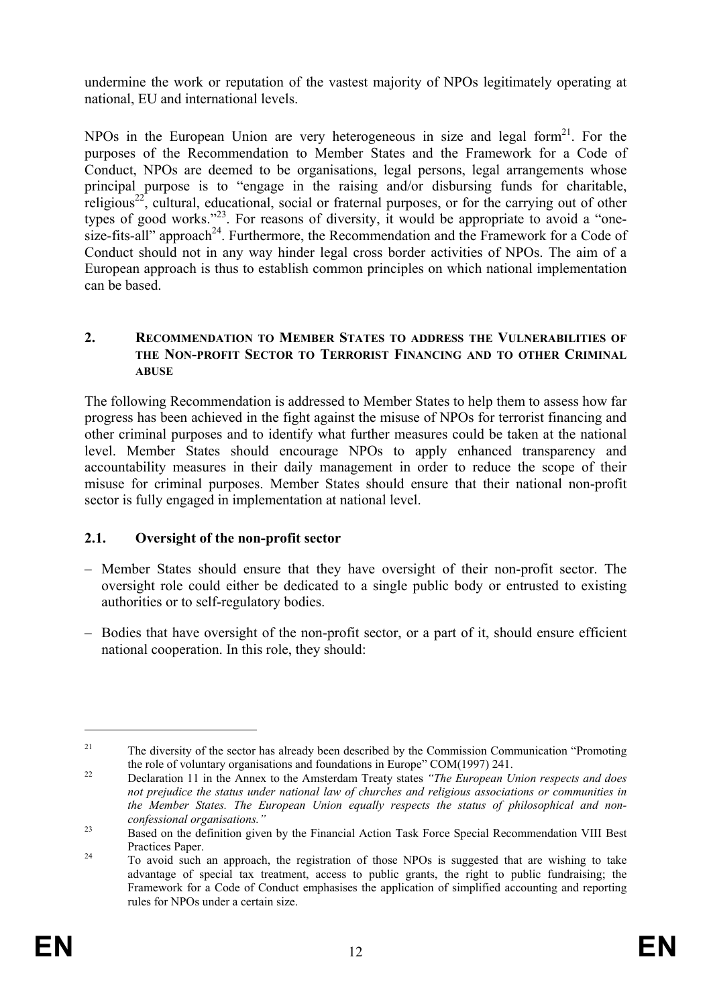undermine the work or reputation of the vastest majority of NPOs legitimately operating at national, EU and international levels.

NPOs in the European Union are very heterogeneous in size and legal form<sup>21</sup>. For the purposes of the Recommendation to Member States and the Framework for a Code of Conduct, NPOs are deemed to be organisations, legal persons, legal arrangements whose principal purpose is to "engage in the raising and/or disbursing funds for charitable, religious<sup>22</sup>, cultural, educational, social or fraternal purposes, or for the carrying out of other types of good works."<sup>23</sup>. For reasons of diversity, it would be appropriate to avoid a "onesize-fits-all" approach<sup>24</sup>. Furthermore, the Recommendation and the Framework for a Code of Conduct should not in any way hinder legal cross border activities of NPOs. The aim of a European approach is thus to establish common principles on which national implementation can be based.

### **2. RECOMMENDATION TO MEMBER STATES TO ADDRESS THE VULNERABILITIES OF THE NON-PROFIT SECTOR TO TERRORIST FINANCING AND TO OTHER CRIMINAL ABUSE**

The following Recommendation is addressed to Member States to help them to assess how far progress has been achieved in the fight against the misuse of NPOs for terrorist financing and other criminal purposes and to identify what further measures could be taken at the national level. Member States should encourage NPOs to apply enhanced transparency and accountability measures in their daily management in order to reduce the scope of their misuse for criminal purposes. Member States should ensure that their national non-profit sector is fully engaged in implementation at national level.

# **2.1. Oversight of the non-profit sector**

- Member States should ensure that they have oversight of their non-profit sector. The oversight role could either be dedicated to a single public body or entrusted to existing authorities or to self-regulatory bodies.
- Bodies that have oversight of the non-profit sector, or a part of it, should ensure efficient national cooperation. In this role, they should:

<sup>&</sup>lt;sup>21</sup> The diversity of the sector has already been described by the Commission Communication "Promoting" the role of voluntary organisations and foundations in Europe" COM(1997) 241. 22 Declaration 11 in the Annex to the Amsterdam Treaty states *"The European Union respects and does* 

*not prejudice the status under national law of churches and religious associations or communities in the Member States. The European Union equally respects the status of philosophical and nonconfessional organisations."* 23 Based on the definition given by the Financial Action Task Force Special Recommendation VIII Best

Practices Paper.<br><sup>24</sup> To avoid such an approach, the registration of those NPOs is suggested that are wishing to take advantage of special tax treatment, access to public grants, the right to public fundraising; the Framework for a Code of Conduct emphasises the application of simplified accounting and reporting rules for NPOs under a certain size.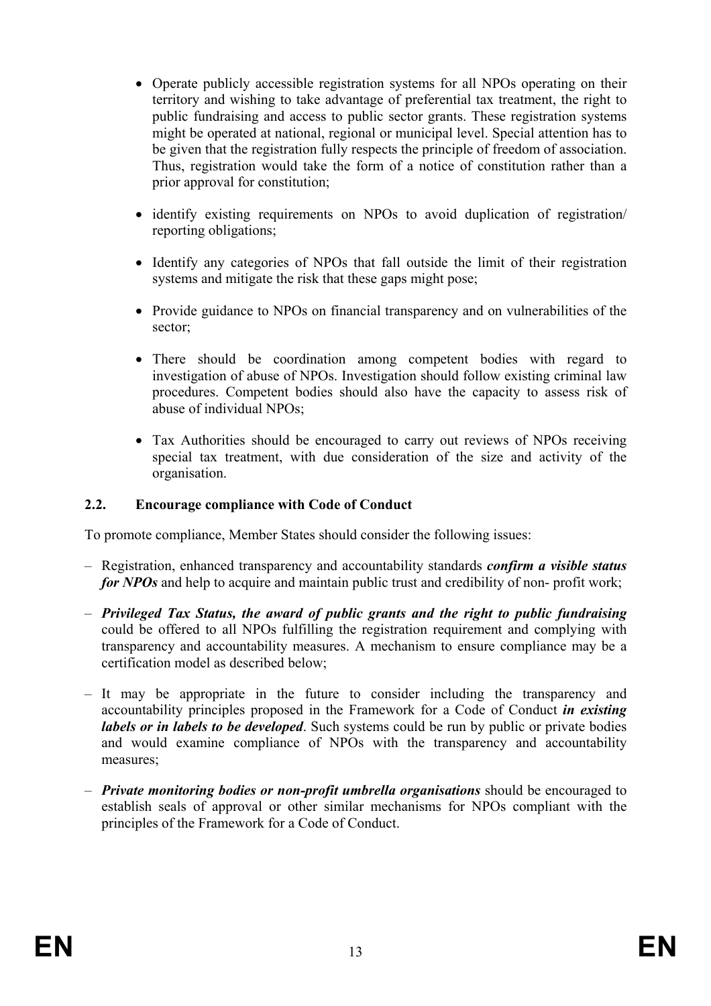- Operate publicly accessible registration systems for all NPOs operating on their territory and wishing to take advantage of preferential tax treatment, the right to public fundraising and access to public sector grants. These registration systems might be operated at national, regional or municipal level. Special attention has to be given that the registration fully respects the principle of freedom of association. Thus, registration would take the form of a notice of constitution rather than a prior approval for constitution;
- identify existing requirements on NPOs to avoid duplication of registration/ reporting obligations;
- Identify any categories of NPOs that fall outside the limit of their registration systems and mitigate the risk that these gaps might pose;
- Provide guidance to NPOs on financial transparency and on vulnerabilities of the sector;
- There should be coordination among competent bodies with regard to investigation of abuse of NPOs. Investigation should follow existing criminal law procedures. Competent bodies should also have the capacity to assess risk of abuse of individual NPOs;
- Tax Authorities should be encouraged to carry out reviews of NPOs receiving special tax treatment, with due consideration of the size and activity of the organisation.

# **2.2. Encourage compliance with Code of Conduct**

To promote compliance, Member States should consider the following issues:

- Registration, enhanced transparency and accountability standards *confirm a visible status for NPOs* and help to acquire and maintain public trust and credibility of non- profit work;
- *Privileged Tax Status, the award of public grants and the right to public fundraising* could be offered to all NPOs fulfilling the registration requirement and complying with transparency and accountability measures. A mechanism to ensure compliance may be a certification model as described below;
- It may be appropriate in the future to consider including the transparency and accountability principles proposed in the Framework for a Code of Conduct *in existing labels or in labels to be developed*. Such systems could be run by public or private bodies and would examine compliance of NPOs with the transparency and accountability measures;
- *Private monitoring bodies or non-profit umbrella organisations* should be encouraged to establish seals of approval or other similar mechanisms for NPOs compliant with the principles of the Framework for a Code of Conduct.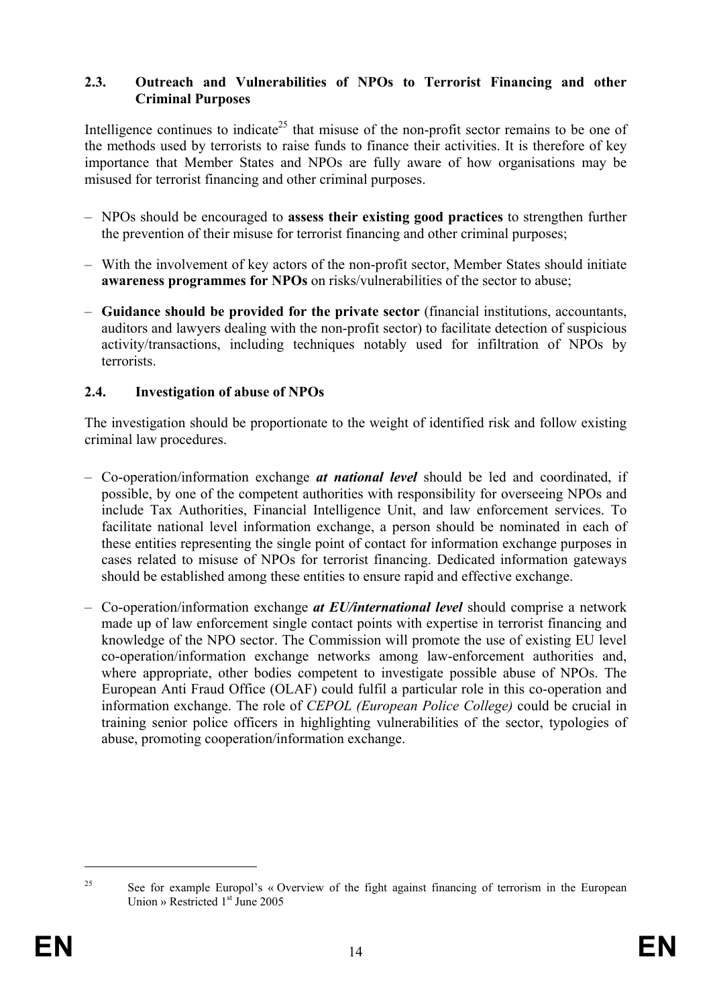### **2.3. Outreach and Vulnerabilities of NPOs to Terrorist Financing and other Criminal Purposes**

Intelligence continues to indicate<sup>25</sup> that misuse of the non-profit sector remains to be one of the methods used by terrorists to raise funds to finance their activities. It is therefore of key importance that Member States and NPOs are fully aware of how organisations may be misused for terrorist financing and other criminal purposes.

- NPOs should be encouraged to **assess their existing good practices** to strengthen further the prevention of their misuse for terrorist financing and other criminal purposes;
- With the involvement of key actors of the non-profit sector, Member States should initiate **awareness programmes for NPOs** on risks/vulnerabilities of the sector to abuse;
- **Guidance should be provided for the private sector** (financial institutions, accountants, auditors and lawyers dealing with the non-profit sector) to facilitate detection of suspicious activity/transactions, including techniques notably used for infiltration of NPOs by terrorists.

# **2.4. Investigation of abuse of NPOs**

The investigation should be proportionate to the weight of identified risk and follow existing criminal law procedures.

- Co-operation/information exchange *at national level* should be led and coordinated, if possible, by one of the competent authorities with responsibility for overseeing NPOs and include Tax Authorities, Financial Intelligence Unit, and law enforcement services. To facilitate national level information exchange, a person should be nominated in each of these entities representing the single point of contact for information exchange purposes in cases related to misuse of NPOs for terrorist financing. Dedicated information gateways should be established among these entities to ensure rapid and effective exchange.
- Co-operation/information exchange *at EU/international level* should comprise a network made up of law enforcement single contact points with expertise in terrorist financing and knowledge of the NPO sector. The Commission will promote the use of existing EU level co-operation/information exchange networks among law-enforcement authorities and, where appropriate, other bodies competent to investigate possible abuse of NPOs. The European Anti Fraud Office (OLAF) could fulfil a particular role in this co-operation and information exchange. The role of *CEPOL (European Police College)* could be crucial in training senior police officers in highlighting vulnerabilities of the sector, typologies of abuse, promoting cooperation/information exchange.

<sup>&</sup>lt;sup>25</sup> See for example Europol's « Overview of the fight against financing of terrorism in the European Union » Restricted  $1<sup>st</sup>$  June 2005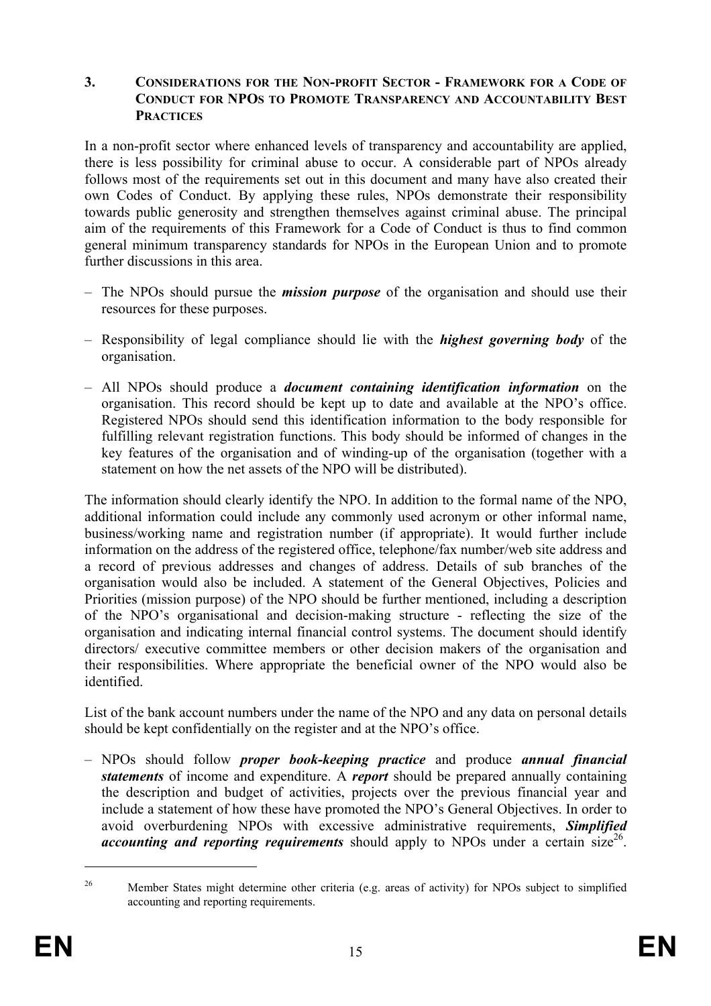#### **3. CONSIDERATIONS FOR THE NON-PROFIT SECTOR - FRAMEWORK FOR A CODE OF CONDUCT FOR NPOS TO PROMOTE TRANSPARENCY AND ACCOUNTABILITY BEST PRACTICES**

In a non-profit sector where enhanced levels of transparency and accountability are applied, there is less possibility for criminal abuse to occur. A considerable part of NPOs already follows most of the requirements set out in this document and many have also created their own Codes of Conduct. By applying these rules, NPOs demonstrate their responsibility towards public generosity and strengthen themselves against criminal abuse. The principal aim of the requirements of this Framework for a Code of Conduct is thus to find common general minimum transparency standards for NPOs in the European Union and to promote further discussions in this area.

- The NPOs should pursue the *mission purpose* of the organisation and should use their resources for these purposes.
- Responsibility of legal compliance should lie with the *highest governing body* of the organisation.
- All NPOs should produce a *document containing identification information* on the organisation. This record should be kept up to date and available at the NPO's office. Registered NPOs should send this identification information to the body responsible for fulfilling relevant registration functions. This body should be informed of changes in the key features of the organisation and of winding-up of the organisation (together with a statement on how the net assets of the NPO will be distributed).

The information should clearly identify the NPO. In addition to the formal name of the NPO, additional information could include any commonly used acronym or other informal name, business/working name and registration number (if appropriate). It would further include information on the address of the registered office, telephone/fax number/web site address and a record of previous addresses and changes of address. Details of sub branches of the organisation would also be included. A statement of the General Objectives, Policies and Priorities (mission purpose) of the NPO should be further mentioned, including a description of the NPO's organisational and decision-making structure - reflecting the size of the organisation and indicating internal financial control systems. The document should identify directors/ executive committee members or other decision makers of the organisation and their responsibilities. Where appropriate the beneficial owner of the NPO would also be identified.

List of the bank account numbers under the name of the NPO and any data on personal details should be kept confidentially on the register and at the NPO's office.

– NPOs should follow *proper book-keeping practice* and produce *annual financial statements* of income and expenditure. A *report* should be prepared annually containing the description and budget of activities, projects over the previous financial year and include a statement of how these have promoted the NPO's General Objectives. In order to avoid overburdening NPOs with excessive administrative requirements, *Simplified accounting and reporting requirements* should apply to NPOs under a certain size<sup>26</sup>.

<sup>&</sup>lt;sup>26</sup> Member States might determine other criteria (e.g. areas of activity) for NPOs subject to simplified accounting and reporting requirements.